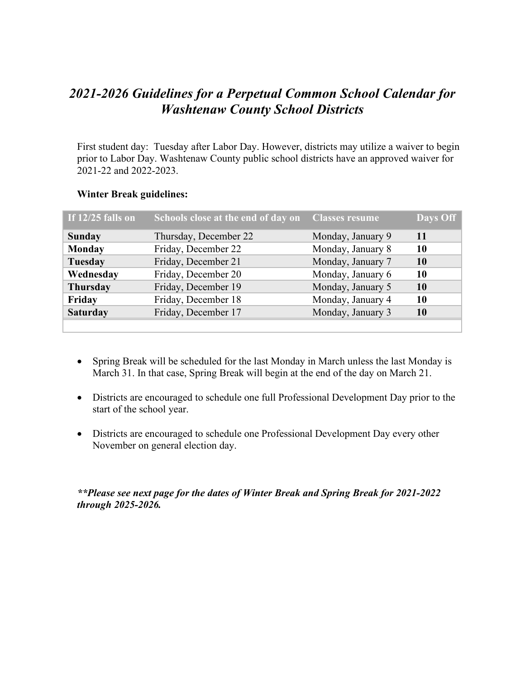## *2021-2026 Guidelines for a Perpetual Common School Calendar for Washtenaw County School Districts*

First student day: Tuesday after Labor Day. However, districts may utilize a waiver to begin prior to Labor Day. Washtenaw County public school districts have an approved waiver for 2021-22 and 2022-2023.

| If $12/25$ falls on | Schools close at the end of day on | <b>Classes resume</b> | Days Off |
|---------------------|------------------------------------|-----------------------|----------|
| <b>Sunday</b>       | Thursday, December 22              | Monday, January 9     | -11      |
| <b>Monday</b>       | Friday, December 22                | Monday, January 8     | 10       |
| Tuesday             | Friday, December 21                | Monday, January 7     | 10       |
| Wednesday           | Friday, December 20                | Monday, January 6     | 10       |
| <b>Thursday</b>     | Friday, December 19                | Monday, January 5     | 10       |
| Friday              | Friday, December 18                | Monday, January 4     | 10       |
| <b>Saturday</b>     | Friday, December 17                | Monday, January 3     | 10       |
|                     |                                    |                       |          |

## **Winter Break guidelines:**

- Spring Break will be scheduled for the last Monday in March unless the last Monday is March 31. In that case, Spring Break will begin at the end of the day on March 21.
- Districts are encouraged to schedule one full Professional Development Day prior to the start of the school year.
- Districts are encouraged to schedule one Professional Development Day every other November on general election day.

*\*\*Please see next page for the dates of Winter Break and Spring Break for 2021-2022 through 2025-2026.*